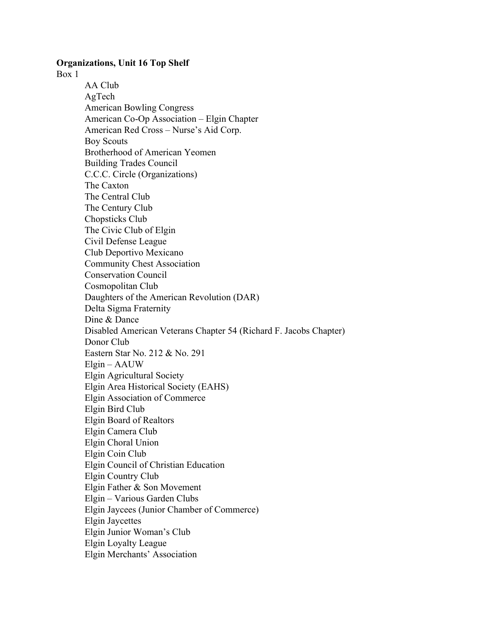## **Organizations, Unit 16 Top Shelf**

Box 1

AA Club AgTech American Bowling Congress American Co-Op Association – Elgin Chapter American Red Cross – Nurse's Aid Corp. Boy Scouts Brotherhood of American Yeomen Building Trades Council C.C.C. Circle (Organizations) The Caxton The Central Club The Century Club Chopsticks Club The Civic Club of Elgin Civil Defense League Club Deportivo Mexicano Community Chest Association Conservation Council Cosmopolitan Club Daughters of the American Revolution (DAR) Delta Sigma Fraternity Dine & Dance Disabled American Veterans Chapter 54 (Richard F. Jacobs Chapter) Donor Club Eastern Star No. 212 & No. 291 Elgin – AAUW Elgin Agricultural Society Elgin Area Historical Society (EAHS) Elgin Association of Commerce Elgin Bird Club Elgin Board of Realtors Elgin Camera Club Elgin Choral Union Elgin Coin Club Elgin Council of Christian Education Elgin Country Club Elgin Father & Son Movement Elgin – Various Garden Clubs Elgin Jaycees (Junior Chamber of Commerce) Elgin Jaycettes Elgin Junior Woman's Club Elgin Loyalty League Elgin Merchants' Association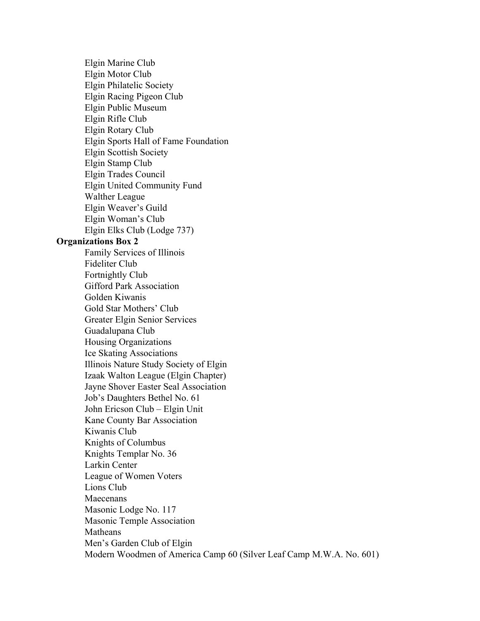Elgin Marine Club Elgin Motor Club Elgin Philatelic Society Elgin Racing Pigeon Club Elgin Public Museum Elgin Rifle Club Elgin Rotary Club Elgin Sports Hall of Fame Foundation Elgin Scottish Society Elgin Stamp Club Elgin Trades Council Elgin United Community Fund Walther League Elgin Weaver's Guild Elgin Woman's Club Elgin Elks Club (Lodge 737) **Organizations Box 2** Family Services of Illinois Fideliter Club Fortnightly Club Gifford Park Association Golden Kiwanis Gold Star Mothers' Club Greater Elgin Senior Services Guadalupana Club Housing Organizations Ice Skating Associations Illinois Nature Study Society of Elgin Izaak Walton League (Elgin Chapter) Jayne Shover Easter Seal Association Job's Daughters Bethel No. 61 John Ericson Club – Elgin Unit Kane County Bar Association Kiwanis Club Knights of Columbus Knights Templar No. 36 Larkin Center League of Women Voters Lions Club Maecenans Masonic Lodge No. 117 Masonic Temple Association **Matheans** Men's Garden Club of Elgin Modern Woodmen of America Camp 60 (Silver Leaf Camp M.W.A. No. 601)